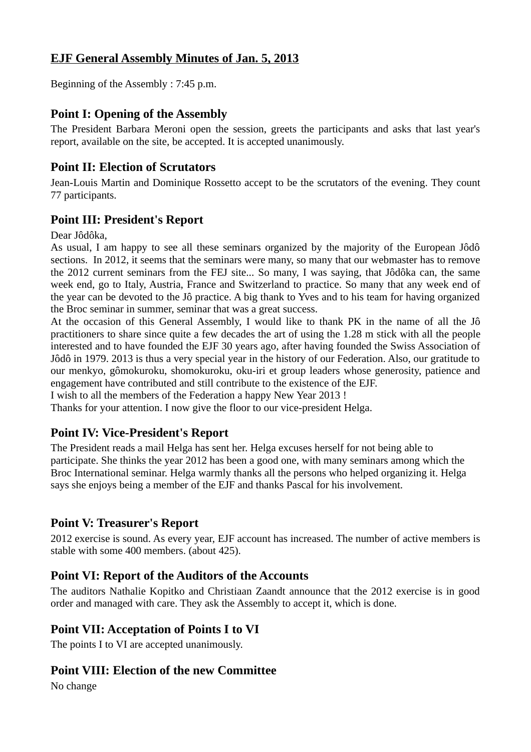# **EJF General Assembly Minutes of Jan. 5, 2013**

Beginning of the Assembly : 7:45 p.m.

#### **Point I: Opening of the Assembly**

The President Barbara Meroni open the session, greets the participants and asks that last year's report, available on the site, be accepted. It is accepted unanimously.

#### **Point II: Election of Scrutators**

Jean-Louis Martin and Dominique Rossetto accept to be the scrutators of the evening. They count 77 participants.

### **Point III: President's Report**

Dear Jôdôka,

As usual, I am happy to see all these seminars organized by the majority of the European Jôdô sections. In 2012, it seems that the seminars were many, so many that our webmaster has to remove the 2012 current seminars from the FEJ site... So many, I was saying, that Jôdôka can, the same week end, go to Italy, Austria, France and Switzerland to practice. So many that any week end of the year can be devoted to the Jô practice. A big thank to Yves and to his team for having organized the Broc seminar in summer, seminar that was a great success.

At the occasion of this General Assembly, I would like to thank PK in the name of all the Jô practitioners to share since quite a few decades the art of using the 1.28 m stick with all the people interested and to have founded the EJF 30 years ago, after having founded the Swiss Association of Jôdô in 1979. 2013 is thus a very special year in the history of our Federation. Also, our gratitude to our menkyo, gômokuroku, shomokuroku, oku-iri et group leaders whose generosity, patience and engagement have contributed and still contribute to the existence of the EJF.

I wish to all the members of the Federation a happy New Year 2013 !

Thanks for your attention. I now give the floor to our vice-president Helga.

#### **Point IV: Vice-President's Report**

The President reads a mail Helga has sent her. Helga excuses herself for not being able to participate. She thinks the year 2012 has been a good one, with many seminars among which the Broc International seminar. Helga warmly thanks all the persons who helped organizing it. Helga says she enjoys being a member of the EJF and thanks Pascal for his involvement.

#### **Point V: Treasurer's Report**

2012 exercise is sound. As every year, EJF account has increased. The number of active members is stable with some 400 members. (about 425).

#### **Point VI: Report of the Auditors of the Accounts**

The auditors Nathalie Kopitko and Christiaan Zaandt announce that the 2012 exercise is in good order and managed with care. They ask the Assembly to accept it, which is done.

#### **Point VII: Acceptation of Points I to VI**

The points I to VI are accepted unanimously.

#### **Point VIII: Election of the new Committee**

No change